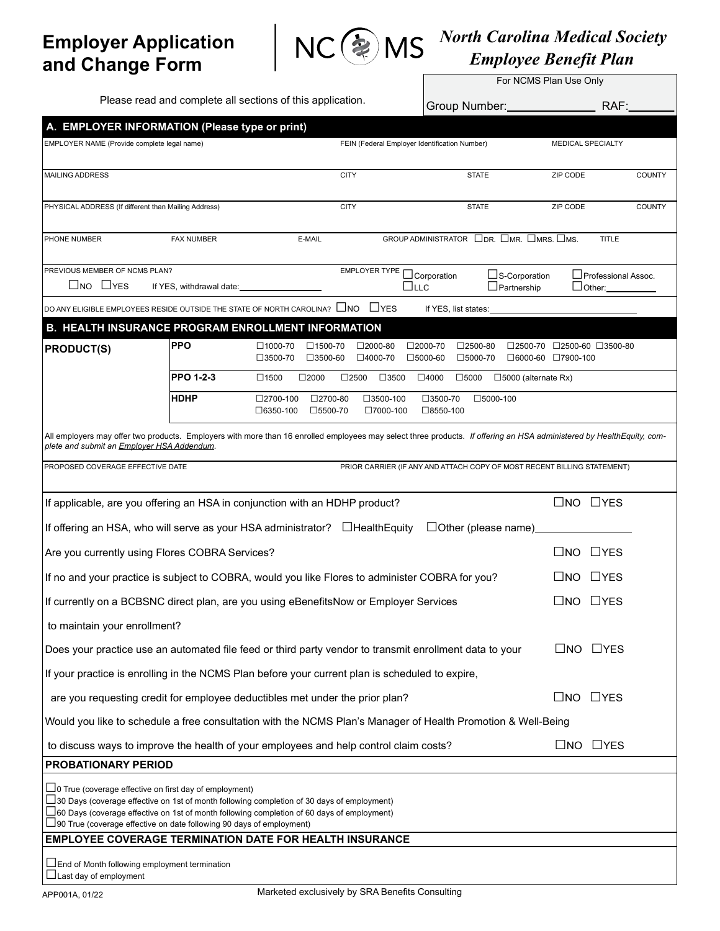## Employer Application and Change Form



## North Carolina Medical Society Employee Benefit Plan

|                                                                                                                                                                                                                                                                                                                                                                                                                                  |                          |                                                                                  |                                               |                                                                                  |                                            | For NCMS Plan Use Only                 |               |  |  |
|----------------------------------------------------------------------------------------------------------------------------------------------------------------------------------------------------------------------------------------------------------------------------------------------------------------------------------------------------------------------------------------------------------------------------------|--------------------------|----------------------------------------------------------------------------------|-----------------------------------------------|----------------------------------------------------------------------------------|--------------------------------------------|----------------------------------------|---------------|--|--|
| Please read and complete all sections of this application.                                                                                                                                                                                                                                                                                                                                                                       |                          |                                                                                  |                                               | Group Number: ________                                                           |                                            | RAF:                                   |               |  |  |
| A. EMPLOYER INFORMATION (Please type or print)                                                                                                                                                                                                                                                                                                                                                                                   |                          |                                                                                  |                                               |                                                                                  |                                            |                                        |               |  |  |
| EMPLOYER NAME (Provide complete legal name)                                                                                                                                                                                                                                                                                                                                                                                      |                          |                                                                                  | FEIN (Federal Employer Identification Number) |                                                                                  |                                            | MEDICAL SPECIALTY                      |               |  |  |
| <b>MAILING ADDRESS</b>                                                                                                                                                                                                                                                                                                                                                                                                           |                          |                                                                                  | <b>CITY</b>                                   | <b>STATE</b>                                                                     |                                            | ZIP CODE                               | <b>COUNTY</b> |  |  |
| PHYSICAL ADDRESS (If different than Mailing Address)                                                                                                                                                                                                                                                                                                                                                                             |                          |                                                                                  | <b>CITY</b>                                   | <b>STATE</b>                                                                     |                                            | ZIP CODE                               | <b>COUNTY</b> |  |  |
| PHONE NUMBER                                                                                                                                                                                                                                                                                                                                                                                                                     | <b>FAX NUMBER</b>        | E-MAIL                                                                           |                                               | GROUP ADMINISTRATOR $\Box$ DR. $\Box$ MR. $\Box$ MRS. $\Box$ MS.                 |                                            | <b>TITLE</b>                           |               |  |  |
| PREVIOUS MEMBER OF NCMS PLAN?<br>$\Box$ NO $\Box$ YES                                                                                                                                                                                                                                                                                                                                                                            | If YES, withdrawal date: |                                                                                  | EMPLOYER TYPE                                 | □Corporation<br>$\square$ LLC                                                    | $\Box$ S-Corporation<br>$\Box$ Partnership | □ Professional Assoc.<br>$\Box$ Other: |               |  |  |
| DO ANY ELIGIBLE EMPLOYEES RESIDE OUTSIDE THE STATE OF NORTH CAROLINA? $\Box$ NO $\Box$ YES                                                                                                                                                                                                                                                                                                                                       |                          |                                                                                  |                                               | If YES, list states:                                                             |                                            |                                        |               |  |  |
| <b>B. HEALTH INSURANCE PROGRAM ENROLLMENT INFORMATION</b>                                                                                                                                                                                                                                                                                                                                                                        |                          |                                                                                  |                                               |                                                                                  |                                            |                                        |               |  |  |
| <b>PRODUCT(S)</b>                                                                                                                                                                                                                                                                                                                                                                                                                | <b>PPO</b>               | $\square$ 1000-70<br>$\square$ 1500-70<br>$\square$ 3500-70<br>$\square$ 3500-60 | $\square$ 2000-80<br>□4000-70                 | $\square$ 2000-70<br>$\square$ 2500-80<br>$\square$ 5000-70<br>$\square$ 5000-60 | □6000-60 □7900-100                         | □2500-70 □2500-60 □3500-80             |               |  |  |
|                                                                                                                                                                                                                                                                                                                                                                                                                                  | PPO 1-2-3                | $\square$ 1500<br>$\square$ 2000                                                 | $\square$ 2500<br>$\square$ 3500              | $\square$ 4000<br>$\square$ 5000                                                 | $\square$ 5000 (alternate Rx)              |                                        |               |  |  |
|                                                                                                                                                                                                                                                                                                                                                                                                                                  | <b>HDHP</b>              | □2700-100<br>□2700-80<br>$\square$ 6350-100<br>□5500-70                          | $\square$ 3500-100<br>□7000-100               | □3500-70<br>$\square$ 8550-100                                                   | $\square$ 5000-100                         |                                        |               |  |  |
| All employers may offer two products. Employers with more than 16 enrolled employees may select three products. If offering an HSA administered by HealthEquity, com-<br>plete and submit an Employer HSA Addendum.                                                                                                                                                                                                              |                          |                                                                                  |                                               |                                                                                  |                                            |                                        |               |  |  |
| PROPOSED COVERAGE EFFECTIVE DATE                                                                                                                                                                                                                                                                                                                                                                                                 |                          |                                                                                  |                                               | PRIOR CARRIER (IF ANY AND ATTACH COPY OF MOST RECENT BILLING STATEMENT)          |                                            |                                        |               |  |  |
| If applicable, are you offering an HSA in conjunction with an HDHP product?                                                                                                                                                                                                                                                                                                                                                      |                          |                                                                                  |                                               |                                                                                  |                                            | $\square$ NO $\square$ YES             |               |  |  |
| If offering an HSA, who will serve as your HSA administrator? □HealthEquity                                                                                                                                                                                                                                                                                                                                                      |                          |                                                                                  |                                               |                                                                                  |                                            |                                        |               |  |  |
| Are you currently using Flores COBRA Services?                                                                                                                                                                                                                                                                                                                                                                                   |                          |                                                                                  |                                               |                                                                                  |                                            | $\Box$ YES<br>$\square$ NO             |               |  |  |
| If no and your practice is subject to COBRA, would you like Flores to administer COBRA for you?                                                                                                                                                                                                                                                                                                                                  |                          |                                                                                  |                                               |                                                                                  |                                            | $\Box$ YES<br>LINO.                    |               |  |  |
| If currently on a BCBSNC direct plan, are you using eBenefitsNow or Employer Services                                                                                                                                                                                                                                                                                                                                            |                          |                                                                                  |                                               |                                                                                  |                                            | $\Box$ YES<br>$\Box$ NO                |               |  |  |
| to maintain your enrollment?                                                                                                                                                                                                                                                                                                                                                                                                     |                          |                                                                                  |                                               |                                                                                  |                                            |                                        |               |  |  |
| Does your practice use an automated file feed or third party vendor to transmit enrollment data to your                                                                                                                                                                                                                                                                                                                          |                          |                                                                                  |                                               |                                                                                  |                                            | $\square$ NO $\square$ YES             |               |  |  |
| If your practice is enrolling in the NCMS Plan before your current plan is scheduled to expire,                                                                                                                                                                                                                                                                                                                                  |                          |                                                                                  |                                               |                                                                                  |                                            |                                        |               |  |  |
| are you requesting credit for employee deductibles met under the prior plan?                                                                                                                                                                                                                                                                                                                                                     |                          |                                                                                  |                                               |                                                                                  |                                            | $\Box$ YES<br>$\square$ NO             |               |  |  |
| Would you like to schedule a free consultation with the NCMS Plan's Manager of Health Promotion & Well-Being                                                                                                                                                                                                                                                                                                                     |                          |                                                                                  |                                               |                                                                                  |                                            |                                        |               |  |  |
| to discuss ways to improve the health of your employees and help control claim costs?                                                                                                                                                                                                                                                                                                                                            |                          |                                                                                  |                                               |                                                                                  |                                            | $\square$ NO $\square$ YES             |               |  |  |
| PROBATIONARY PERIOD                                                                                                                                                                                                                                                                                                                                                                                                              |                          |                                                                                  |                                               |                                                                                  |                                            |                                        |               |  |  |
| $\Box$ 0 True (coverage effective on first day of employment)<br>$\square$ 30 Days (coverage effective on 1st of month following completion of 30 days of employment)<br>$\Box$ 60 Days (coverage effective on 1st of month following completion of 60 days of employment)<br>$\bigsqcup$ 90 True (coverage effective on date following 90 days of employment)<br><b>EMPLOYEE COVERAGE TERMINATION DATE FOR HEALTH INSURANCE</b> |                          |                                                                                  |                                               |                                                                                  |                                            |                                        |               |  |  |
| $\Box$ End of Month following employment termination<br>⊥Last day of employment                                                                                                                                                                                                                                                                                                                                                  |                          |                                                                                  |                                               |                                                                                  |                                            |                                        |               |  |  |